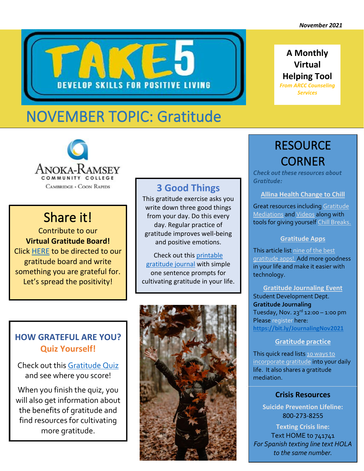**A Monthly Virtual Helping Tool** *From ARCC Counseling Services* 



# NOVEMBER TOPIC: Gratitude



## Share it!

Contribute to our **Virtual Gratitude Board!** Click [HERE](https://jamboard.google.com/d/1v1BmG9MLmugngaKxurUlgn-EHSjA3kMkkKAMQMujJZ4/viewer) to be directed to our gratitude board and write something you are grateful for. Let's spread the positivity!

### **3 Good Things**

This gratitude exercise asks you write down three good things from your day. Do this every day. Regular practice of gratitude improves well-being and positive emotions.

Check out this [printable](https://www.therapistaid.com/worksheets/gratitude-journal-three-good-things.pdf)  [gratitude journal](https://www.therapistaid.com/worksheets/gratitude-journal-three-good-things.pdf) with simple one sentence prompts for cultivating gratitude in your life.

### **HOW GRATEFUL ARE YOU? Quiz Yourself!**

Check out this [Gratitude Quiz](https://greatergood.berkeley.edu/quizzes/take_quiz/gratitude) and see where you score!

When you finish the quiz, you will also get information about the benefits of gratitude and find resources for cultivating more gratitude.



## RESOURCE CORNER

*Check out these resources about Gratitude:*

#### **[Allina Health Change to Chill](https://www.changetochill.org/)**

Great resources includin[g Gratitude](https://www.changetochill.org/chill-breaks/)  [Mediations](https://www.changetochill.org/chill-breaks/) an[d Videos](https://www.changetochill.org/video/) along with tools for giving yoursel[f Chill Breaks.](https://www.changetochill.org/chill-breaks/)

#### **[Gratitude Apps](https://www.happierhuman.com/gratitude-app/)**

This article list [nine of the best](https://www.happierhuman.com/gratitude-app/)  [gratitude apps!](https://www.happierhuman.com/gratitude-app/) Add more goodness in your life and make it easier with technology.

**Gratitude Journaling Event** Student Development Dept. **Gratitude Journaling** Tuesday, Nov.  $23^{\text{rd}}$  12:00 – 1:00 pm Please register here: **[https://bit.ly/JournalingNov2021](https://nam02.safelinks.protection.outlook.com/?url=https%3A%2F%2Fbit.ly%2FJournalingNov2021&data=04%7C01%7Cnikki.jagodzinski%40anokaramsey.edu%7C78819193a30f4578645308d99a218937%7C5011c7c60ab446ab9ef4fae74a921a7f%7C0%7C0%7C637710291087871641%7CUnknown%7CTWFpbGZsb3d8eyJWIjoiMC4wLjAwMDAiLCJQIjoiV2luMzIiLCJBTiI6Ik1haWwiLCJXVCI6Mn0%3D%7C1000&sdata=VfhRHXfaudFYxsk12CSoYBwmKkkhoBKXSU2rjVs9ATM%3D&reserved=0)**

#### **[Gratitude practice](https://www.mindful.org/an-introduction-to-mindful-gratitude/)**

This quick read lists 10 ways to [incorporate gratitude](https://www.mindful.org/an-introduction-to-mindful-gratitude/) into your daily life. It also shares a gratitude mediation.

#### **Crisis Resources**

**Suicide Prevention Lifeline:** 800-273-8255

**Texting Crisis line:** Text HOME to 741741 *For Spanish texting line text HOLA to the same number.*